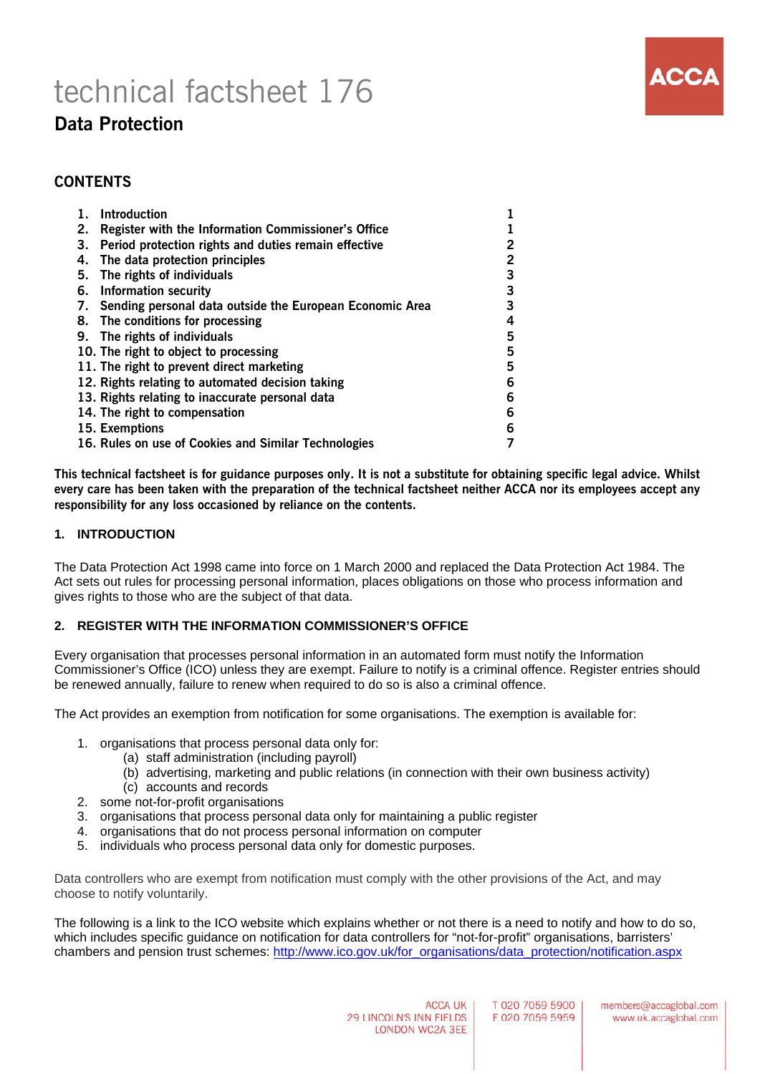# technical factsheet 176



# **Data Protection**

# **CONTENTS**

|    | <b>Introduction</b>                                         |   |
|----|-------------------------------------------------------------|---|
| 2. | <b>Register with the Information Commissioner's Office</b>  |   |
| 3. | Period protection rights and duties remain effective        | 2 |
| 4. | The data protection principles                              | 2 |
| 5. | The rights of individuals                                   | 3 |
|    | 6. Information security                                     | 3 |
|    | 7. Sending personal data outside the European Economic Area | 3 |
|    | 8. The conditions for processing                            | 4 |
|    | 9. The rights of individuals                                | 5 |
|    | 10. The right to object to processing                       | 5 |
|    | 11. The right to prevent direct marketing                   | 5 |
|    | 12. Rights relating to automated decision taking            | 6 |
|    | 13. Rights relating to inaccurate personal data             | 6 |
|    | 14. The right to compensation                               | 6 |
|    | 15. Exemptions                                              | 6 |
|    | 16. Rules on use of Cookies and Similar Technologies        |   |

**This technical factsheet is for guidance purposes only. It is not a substitute for obtaining specific legal advice. Whilst every care has been taken with the preparation of the technical factsheet neither ACCA nor its employees accept any responsibility for any loss occasioned by reliance on the contents.**

#### **1. INTRODUCTION**

The Data Protection Act 1998 came into force on 1 March 2000 and replaced the Data Protection Act 1984. The Act sets out rules for processing personal information, places obligations on those who process information and gives rights to those who are the subject of that data.

# **2. REGISTER WITH THE INFORMATION COMMISSIONER'S OFFICE**

Every organisation that processes personal information in an automated form must notify the Information Commissioner's Office (ICO) unless they are exempt. Failure to notify is a criminal offence. Register entries should be renewed annually, failure to renew when required to do so is also a criminal offence.

The Act provides an exemption from notification for some organisations. The exemption is available for:

- 1. organisations that process personal data only for:
	- (a) staff administration (including payroll)
	- (b) advertising, marketing and public relations (in connection with their own business activity)
	- (c) accounts and records
- 2. some not-for-profit organisations
- 3. organisations that process personal data only for maintaining a public register
- 4. organisations that do not process personal information on computer
- 5. individuals who process personal data only for domestic purposes.

Data controllers who are exempt from notification must comply with the other provisions of the Act, and may choose to notify voluntarily.

The following is a link to the ICO website which explains whether or not there is a need to notify and how to do so, which includes specific quidance on notification for data controllers for "not-for-profit" organisations, barristers' chambers and pension trust schemes: http://www.ico.gov.uk/for\_organisations/data\_protection/notification.aspx

T 020 7059 5900 F 020 7059 5959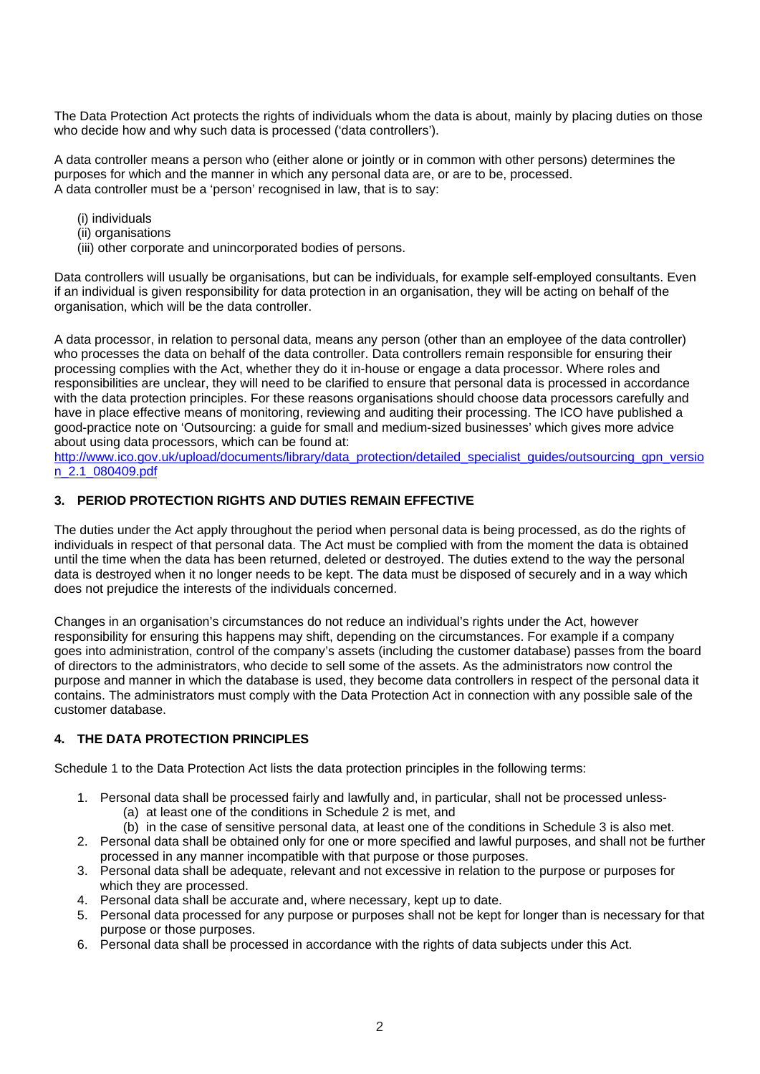The Data Protection Act protects the rights of individuals whom the data is about, mainly by placing duties on those who decide how and why such data is processed ('data controllers').

A data controller means a person who (either alone or jointly or in common with other persons) determines the purposes for which and the manner in which any personal data are, or are to be, processed. A data controller must be a 'person' recognised in law, that is to say:

- (i) individuals
- (ii) organisations
- (iii) other corporate and unincorporated bodies of persons.

Data controllers will usually be organisations, but can be individuals, for example self-employed consultants. Even if an individual is given responsibility for data protection in an organisation, they will be acting on behalf of the organisation, which will be the data controller.

A data processor, in relation to personal data, means any person (other than an employee of the data controller) who processes the data on behalf of the data controller. Data controllers remain responsible for ensuring their processing complies with the Act, whether they do it in-house or engage a data processor. Where roles and responsibilities are unclear, they will need to be clarified to ensure that personal data is processed in accordance with the data protection principles. For these reasons organisations should choose data processors carefully and have in place effective means of monitoring, reviewing and auditing their processing. The ICO have published a good-practice note on 'Outsourcing: a guide for small and medium-sized businesses' which gives more advice about using data processors, which can be found at:

http://www.ico.gov.uk/upload/documents/library/data\_protection/detailed\_specialist\_guides/outsourcing\_gpn\_versio n\_2.1\_080409.pdf

# **3. PERIOD PROTECTION RIGHTS AND DUTIES REMAIN EFFECTIVE**

The duties under the Act apply throughout the period when personal data is being processed, as do the rights of individuals in respect of that personal data. The Act must be complied with from the moment the data is obtained until the time when the data has been returned, deleted or destroyed. The duties extend to the way the personal data is destroyed when it no longer needs to be kept. The data must be disposed of securely and in a way which does not prejudice the interests of the individuals concerned.

Changes in an organisation's circumstances do not reduce an individual's rights under the Act, however responsibility for ensuring this happens may shift, depending on the circumstances. For example if a company goes into administration, control of the company's assets (including the customer database) passes from the board of directors to the administrators, who decide to sell some of the assets. As the administrators now control the purpose and manner in which the database is used, they become data controllers in respect of the personal data it contains. The administrators must comply with the Data Protection Act in connection with any possible sale of the customer database.

# **4. THE DATA PROTECTION PRINCIPLES**

Schedule 1 to the Data Protection Act lists the data protection principles in the following terms:

- 1. Personal data shall be processed fairly and lawfully and, in particular, shall not be processed unless- (a) at least one of the conditions in Schedule 2 is met, and
	- (b) in the case of sensitive personal data, at least one of the conditions in Schedule 3 is also met.
- 2. Personal data shall be obtained only for one or more specified and lawful purposes, and shall not be further processed in any manner incompatible with that purpose or those purposes.
- 3. Personal data shall be adequate, relevant and not excessive in relation to the purpose or purposes for which they are processed.
- 4. Personal data shall be accurate and, where necessary, kept up to date.
- 5. Personal data processed for any purpose or purposes shall not be kept for longer than is necessary for that purpose or those purposes.
- 6. Personal data shall be processed in accordance with the rights of data subjects under this Act.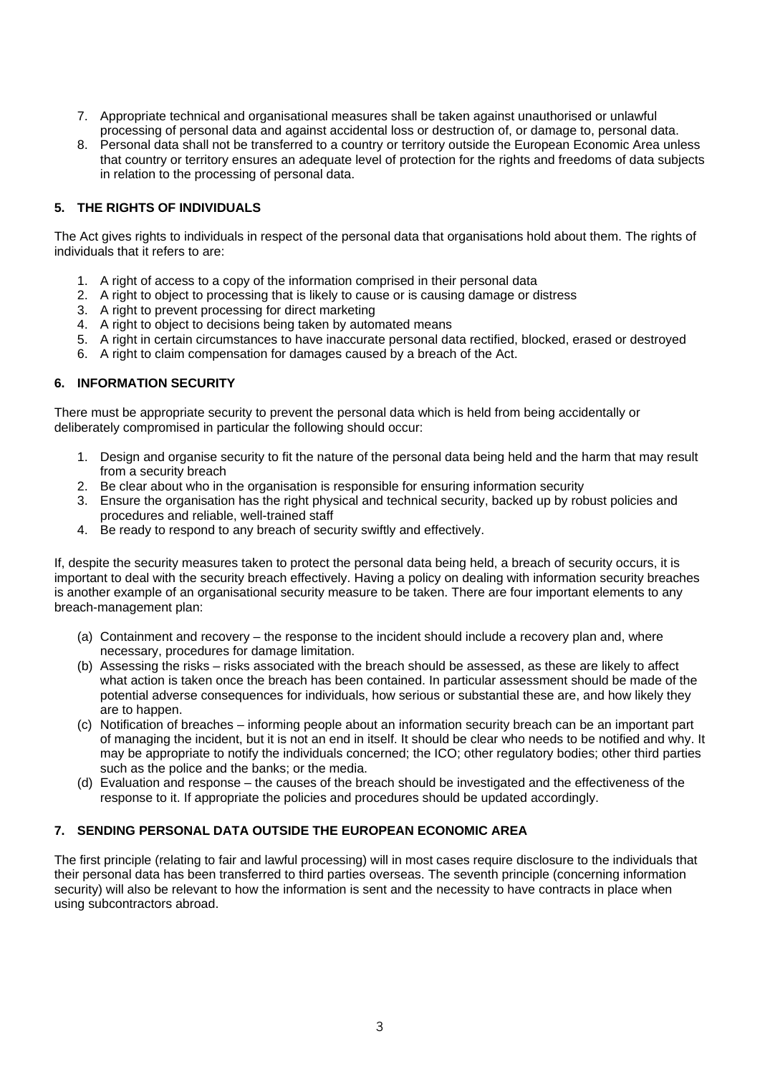- 7. Appropriate technical and organisational measures shall be taken against unauthorised or unlawful processing of personal data and against accidental loss or destruction of, or damage to, personal data.
- 8. Personal data shall not be transferred to a country or territory outside the European Economic Area unless that country or territory ensures an adequate level of protection for the rights and freedoms of data subjects in relation to the processing of personal data.

# **5. THE RIGHTS OF INDIVIDUALS**

The Act gives rights to individuals in respect of the personal data that organisations hold about them. The rights of individuals that it refers to are:

- 1. A right of access to a copy of the information comprised in their personal data
- 2. A right to object to processing that is likely to cause or is causing damage or distress
- 3. A right to prevent processing for direct marketing
- 4. A right to object to decisions being taken by automated means
- 5. A right in certain circumstances to have inaccurate personal data rectified, blocked, erased or destroyed
- 6. A right to claim compensation for damages caused by a breach of the Act.

# **6. INFORMATION SECURITY**

There must be appropriate security to prevent the personal data which is held from being accidentally or deliberately compromised in particular the following should occur:

- 1. Design and organise security to fit the nature of the personal data being held and the harm that may result from a security breach
- 2. Be clear about who in the organisation is responsible for ensuring information security
- 3. Ensure the organisation has the right physical and technical security, backed up by robust policies and procedures and reliable, well-trained staff
- 4. Be ready to respond to any breach of security swiftly and effectively.

If, despite the security measures taken to protect the personal data being held, a breach of security occurs, it is important to deal with the security breach effectively. Having a policy on dealing with information security breaches is another example of an organisational security measure to be taken. There are four important elements to any breach-management plan:

- (a) Containment and recovery the response to the incident should include a recovery plan and, where necessary, procedures for damage limitation.
- (b) Assessing the risks risks associated with the breach should be assessed, as these are likely to affect what action is taken once the breach has been contained. In particular assessment should be made of the potential adverse consequences for individuals, how serious or substantial these are, and how likely they are to happen.
- (c) Notification of breaches informing people about an information security breach can be an important part of managing the incident, but it is not an end in itself. It should be clear who needs to be notified and why. It may be appropriate to notify the individuals concerned; the ICO; other regulatory bodies; other third parties such as the police and the banks; or the media.
- (d) Evaluation and response the causes of the breach should be investigated and the effectiveness of the response to it. If appropriate the policies and procedures should be updated accordingly.

# **7. SENDING PERSONAL DATA OUTSIDE THE EUROPEAN ECONOMIC AREA**

The first principle (relating to fair and lawful processing) will in most cases require disclosure to the individuals that their personal data has been transferred to third parties overseas. The seventh principle (concerning information security) will also be relevant to how the information is sent and the necessity to have contracts in place when using subcontractors abroad.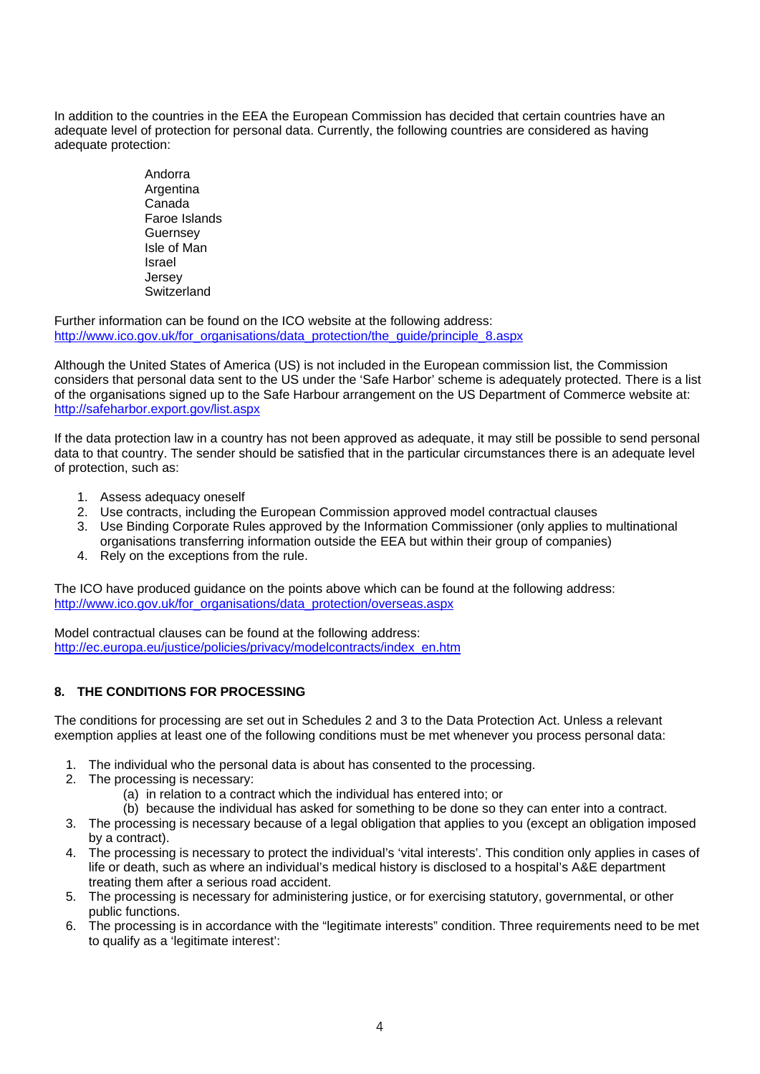In addition to the countries in the EEA the European Commission has decided that certain countries have an adequate level of protection for personal data. Currently, the following countries are considered as having adequate protection:

> Andorra **Argentina**  Canada Faroe Islands Guernsey Isle of Man Israel Jersey **Switzerland**

Further information can be found on the ICO website at the following address: http://www.ico.gov.uk/for\_organisations/data\_protection/the\_guide/principle\_8.aspx

Although the United States of America (US) is not included in the European commission list, the Commission considers that personal data sent to the US under the 'Safe Harbor' scheme is adequately protected. There is a list of the organisations signed up to the Safe Harbour arrangement on the US Department of Commerce website at: http://safeharbor.export.gov/list.aspx

If the data protection law in a country has not been approved as adequate, it may still be possible to send personal data to that country. The sender should be satisfied that in the particular circumstances there is an adequate level of protection, such as:

- 1. Assess adequacy oneself
- 2. Use contracts, including the European Commission approved model contractual clauses
- 3. Use Binding Corporate Rules approved by the Information Commissioner (only applies to multinational organisations transferring information outside the EEA but within their group of companies)
- 4. Rely on the exceptions from the rule.

The ICO have produced guidance on the points above which can be found at the following address: http://www.ico.gov.uk/for\_organisations/data\_protection/overseas.aspx

Model contractual clauses can be found at the following address: http://ec.europa.eu/justice/policies/privacy/modelcontracts/index\_en.htm

# **8. THE CONDITIONS FOR PROCESSING**

The conditions for processing are set out in Schedules 2 and 3 to the Data Protection Act. Unless a relevant exemption applies at least one of the following conditions must be met whenever you process personal data:

- 1. The individual who the personal data is about has consented to the processing.
- 2. The processing is necessary:
	- (a) in relation to a contract which the individual has entered into; or
	- (b) because the individual has asked for something to be done so they can enter into a contract.
- 3. The processing is necessary because of a legal obligation that applies to you (except an obligation imposed by a contract).
- 4. The processing is necessary to protect the individual's 'vital interests'. This condition only applies in cases of life or death, such as where an individual's medical history is disclosed to a hospital's A&E department treating them after a serious road accident.
- 5. The processing is necessary for administering justice, or for exercising statutory, governmental, or other public functions.
- 6. The processing is in accordance with the "legitimate interests" condition. Three requirements need to be met to qualify as a 'legitimate interest':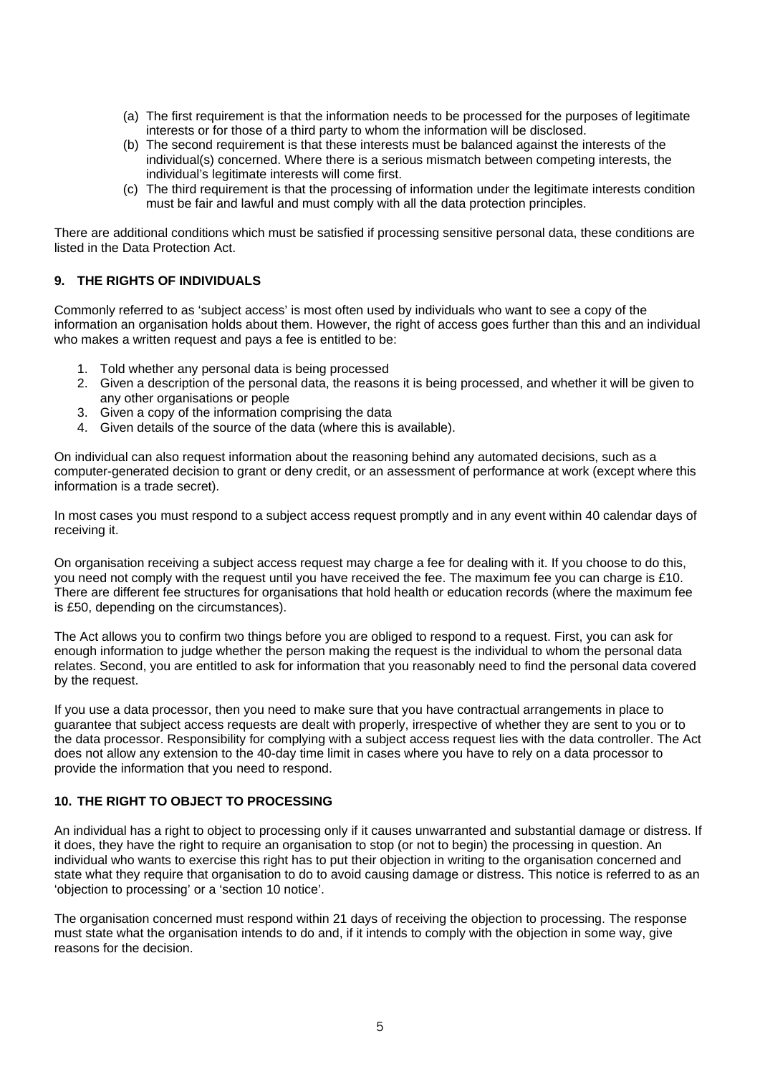- (a) The first requirement is that the information needs to be processed for the purposes of legitimate interests or for those of a third party to whom the information will be disclosed.
- (b) The second requirement is that these interests must be balanced against the interests of the individual(s) concerned. Where there is a serious mismatch between competing interests, the individual's legitimate interests will come first.
- (c) The third requirement is that the processing of information under the legitimate interests condition must be fair and lawful and must comply with all the data protection principles.

There are additional conditions which must be satisfied if processing sensitive personal data, these conditions are listed in the Data Protection Act.

# **9. THE RIGHTS OF INDIVIDUALS**

Commonly referred to as 'subject access' is most often used by individuals who want to see a copy of the information an organisation holds about them. However, the right of access goes further than this and an individual who makes a written request and pays a fee is entitled to be:

- 1. Told whether any personal data is being processed
- 2. Given a description of the personal data, the reasons it is being processed, and whether it will be given to any other organisations or people
- 3. Given a copy of the information comprising the data
- 4. Given details of the source of the data (where this is available).

On individual can also request information about the reasoning behind any automated decisions, such as a computer-generated decision to grant or deny credit, or an assessment of performance at work (except where this information is a trade secret).

In most cases you must respond to a subject access request promptly and in any event within 40 calendar days of receiving it.

On organisation receiving a subject access request may charge a fee for dealing with it. If you choose to do this, you need not comply with the request until you have received the fee. The maximum fee you can charge is £10. There are different fee structures for organisations that hold health or education records (where the maximum fee is £50, depending on the circumstances).

The Act allows you to confirm two things before you are obliged to respond to a request. First, you can ask for enough information to judge whether the person making the request is the individual to whom the personal data relates. Second, you are entitled to ask for information that you reasonably need to find the personal data covered by the request.

If you use a data processor, then you need to make sure that you have contractual arrangements in place to guarantee that subject access requests are dealt with properly, irrespective of whether they are sent to you or to the data processor. Responsibility for complying with a subject access request lies with the data controller. The Act does not allow any extension to the 40-day time limit in cases where you have to rely on a data processor to provide the information that you need to respond.

# **10. THE RIGHT TO OBJECT TO PROCESSING**

An individual has a right to object to processing only if it causes unwarranted and substantial damage or distress. If it does, they have the right to require an organisation to stop (or not to begin) the processing in question. An individual who wants to exercise this right has to put their objection in writing to the organisation concerned and state what they require that organisation to do to avoid causing damage or distress. This notice is referred to as an 'objection to processing' or a 'section 10 notice'.

The organisation concerned must respond within 21 days of receiving the objection to processing. The response must state what the organisation intends to do and, if it intends to comply with the objection in some way, give reasons for the decision.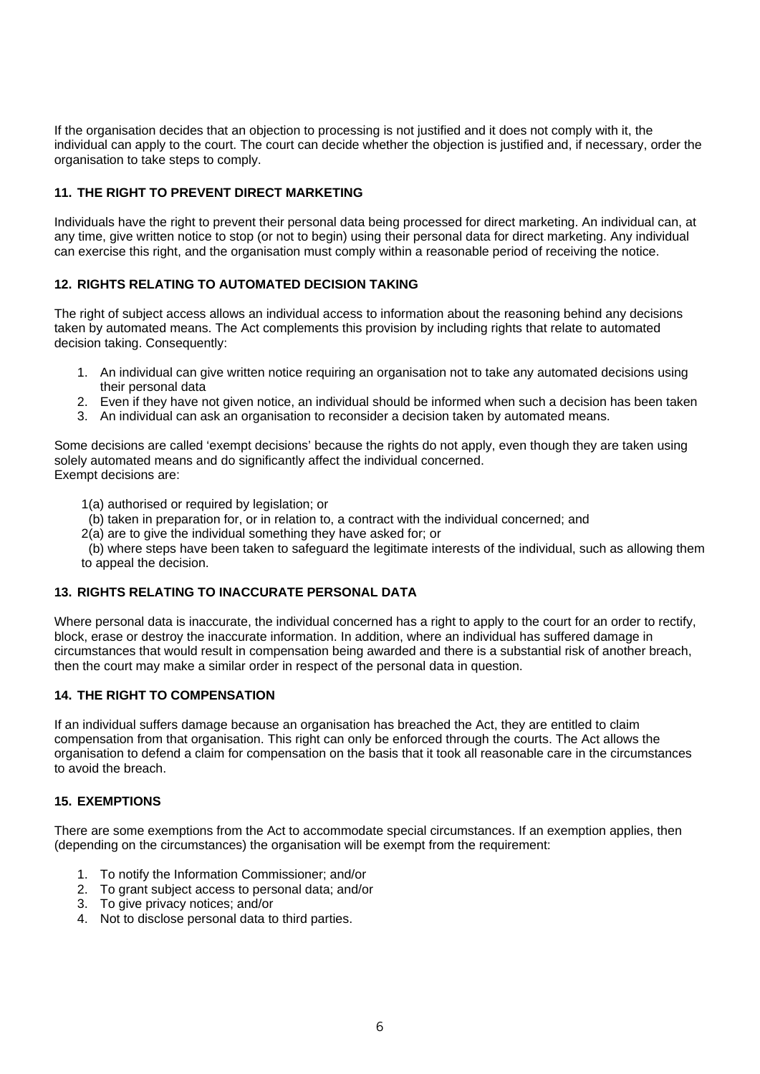If the organisation decides that an objection to processing is not justified and it does not comply with it, the individual can apply to the court. The court can decide whether the objection is justified and, if necessary, order the organisation to take steps to comply.

# **11. THE RIGHT TO PREVENT DIRECT MARKETING**

Individuals have the right to prevent their personal data being processed for direct marketing. An individual can, at any time, give written notice to stop (or not to begin) using their personal data for direct marketing. Any individual can exercise this right, and the organisation must comply within a reasonable period of receiving the notice.

# **12. RIGHTS RELATING TO AUTOMATED DECISION TAKING**

The right of subject access allows an individual access to information about the reasoning behind any decisions taken by automated means. The Act complements this provision by including rights that relate to automated decision taking. Consequently:

- 1. An individual can give written notice requiring an organisation not to take any automated decisions using their personal data
- 2. Even if they have not given notice, an individual should be informed when such a decision has been taken
- 3. An individual can ask an organisation to reconsider a decision taken by automated means.

Some decisions are called 'exempt decisions' because the rights do not apply, even though they are taken using solely automated means and do significantly affect the individual concerned. Exempt decisions are:

1(a) authorised or required by legislation; or

- (b) taken in preparation for, or in relation to, a contract with the individual concerned; and
- 2(a) are to give the individual something they have asked for; or

 (b) where steps have been taken to safeguard the legitimate interests of the individual, such as allowing them to appeal the decision.

# **13. RIGHTS RELATING TO INACCURATE PERSONAL DATA**

Where personal data is inaccurate, the individual concerned has a right to apply to the court for an order to rectify, block, erase or destroy the inaccurate information. In addition, where an individual has suffered damage in circumstances that would result in compensation being awarded and there is a substantial risk of another breach, then the court may make a similar order in respect of the personal data in question.

# **14. THE RIGHT TO COMPENSATION**

If an individual suffers damage because an organisation has breached the Act, they are entitled to claim compensation from that organisation. This right can only be enforced through the courts. The Act allows the organisation to defend a claim for compensation on the basis that it took all reasonable care in the circumstances to avoid the breach.

#### **15. EXEMPTIONS**

There are some exemptions from the Act to accommodate special circumstances. If an exemption applies, then (depending on the circumstances) the organisation will be exempt from the requirement:

- 1. To notify the Information Commissioner; and/or
- 2. To grant subject access to personal data; and/or
- 3. To give privacy notices; and/or
- 4. Not to disclose personal data to third parties.